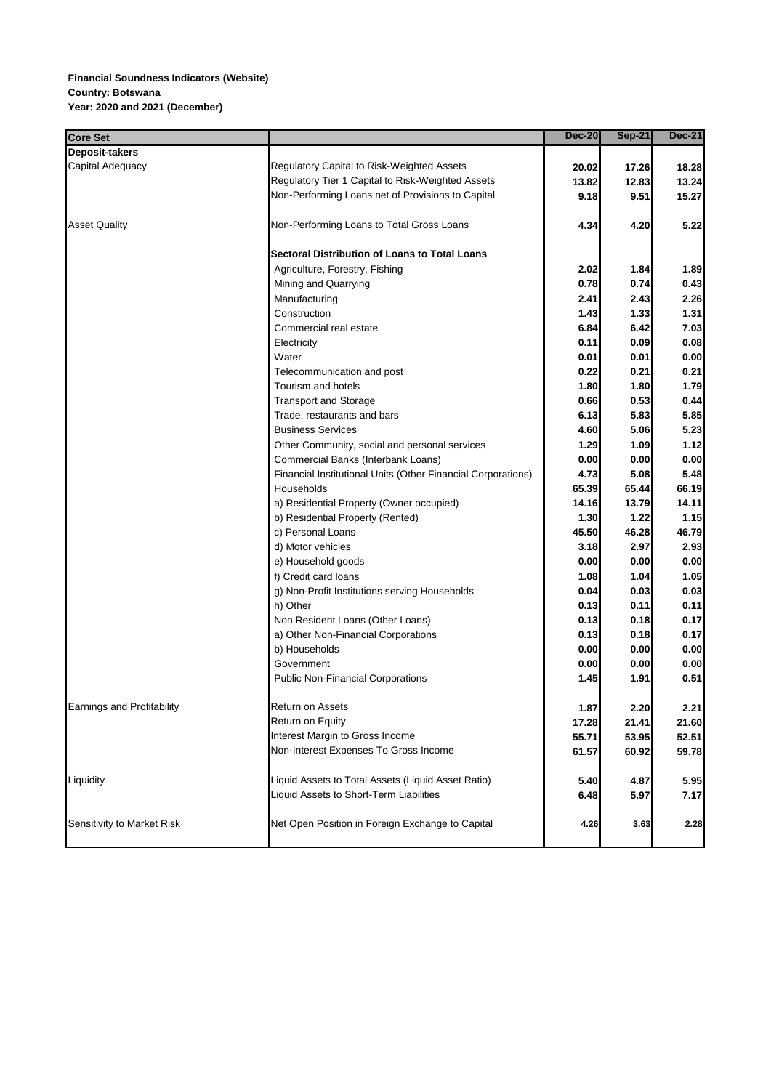## **Financial Soundness Indicators (Website) Country: Botswana Year: 2020 and 2021 (December)**

| <b>Core Set</b>            |                                                              | <b>Dec-20</b> | $Sep-21$ | <b>Dec-21</b> |
|----------------------------|--------------------------------------------------------------|---------------|----------|---------------|
| Deposit-takers             |                                                              |               |          |               |
| Capital Adequacy           | Regulatory Capital to Risk-Weighted Assets                   | 20.02         | 17.26    | 18.28         |
|                            | Regulatory Tier 1 Capital to Risk-Weighted Assets            | 13.82         | 12.83    | 13.24         |
|                            | Non-Performing Loans net of Provisions to Capital            | 9.18          | 9.51     | 15.27         |
|                            |                                                              |               |          |               |
| <b>Asset Quality</b>       | Non-Performing Loans to Total Gross Loans                    | 4.34          | 4.20     | 5.22          |
|                            |                                                              |               |          |               |
|                            | Sectoral Distribution of Loans to Total Loans                |               |          |               |
|                            | Agriculture, Forestry, Fishing                               | 2.02          | 1.84     | 1.89          |
|                            | Mining and Quarrying                                         | 0.78          | 0.74     | 0.43          |
|                            | Manufacturing                                                | 2.41          | 2.43     | 2.26          |
|                            | Construction                                                 | 1.43          | 1.33     | 1.31          |
|                            | Commercial real estate                                       | 6.84          | 6.42     | 7.03          |
|                            | Electricity                                                  | 0.11          | 0.09     | 0.08          |
|                            | Water                                                        | 0.01          | 0.01     | 0.00          |
|                            | Telecommunication and post                                   | 0.22          | 0.21     | 0.21          |
|                            | Tourism and hotels                                           | 1.80          | 1.80     | 1.79          |
|                            | <b>Transport and Storage</b>                                 | 0.66          | 0.53     | 0.44          |
|                            | Trade, restaurants and bars                                  | 6.13          | 5.83     | 5.85          |
|                            | <b>Business Services</b>                                     | 4.60          | 5.06     | 5.23          |
|                            | Other Community, social and personal services                | 1.29          | 1.09     | 1.12          |
|                            | Commercial Banks (Interbank Loans)                           | 0.00          | 0.00     | 0.00          |
|                            | Financial Institutional Units (Other Financial Corporations) | 4.73          | 5.08     | 5.48          |
|                            | Households                                                   | 65.39         | 65.44    | 66.19         |
|                            | a) Residential Property (Owner occupied)                     | 14.16         | 13.79    | 14.11         |
|                            | b) Residential Property (Rented)                             | 1.30          | 1.22     | 1.15          |
|                            | c) Personal Loans                                            | 45.50         | 46.28    | 46.79         |
|                            | d) Motor vehicles                                            | 3.18          | 2.97     | 2.93          |
|                            | e) Household goods                                           | 0.00          | 0.00     | 0.00          |
|                            | f) Credit card loans                                         | 1.08          | 1.04     | 1.05          |
|                            | g) Non-Profit Institutions serving Households                | 0.04          | 0.03     | 0.03          |
|                            | h) Other                                                     | 0.13          | 0.11     | 0.11          |
|                            | Non Resident Loans (Other Loans)                             | 0.13          | 0.18     | 0.17          |
|                            | a) Other Non-Financial Corporations                          | 0.13          | 0.18     | 0.17          |
|                            | b) Households                                                | 0.00          | 0.00     | 0.00          |
|                            | Government                                                   | 0.00          | 0.00     | 0.00          |
|                            | <b>Public Non-Financial Corporations</b>                     | 1.45          | 1.91     | 0.51          |
| Earnings and Profitability | Return on Assets                                             | 1.87          | 2.20     | 2.21          |
|                            | Return on Equity                                             | 17.28         | 21.41    | 21.60         |
|                            | Interest Margin to Gross Income                              | 55.71         | 53.95    | 52.51         |
|                            | Non-Interest Expenses To Gross Income                        | 61.57         | 60.92    | 59.78         |
| Liquidity                  | Liquid Assets to Total Assets (Liquid Asset Ratio)           |               |          |               |
|                            |                                                              | 5.40          | 4.87     | 5.95          |
|                            | Liquid Assets to Short-Term Liabilities                      | 6.48          | 5.97     | 7.17          |
| Sensitivity to Market Risk | Net Open Position in Foreign Exchange to Capital             | 4.26          | 3.63     | 2.28          |
|                            |                                                              |               |          |               |